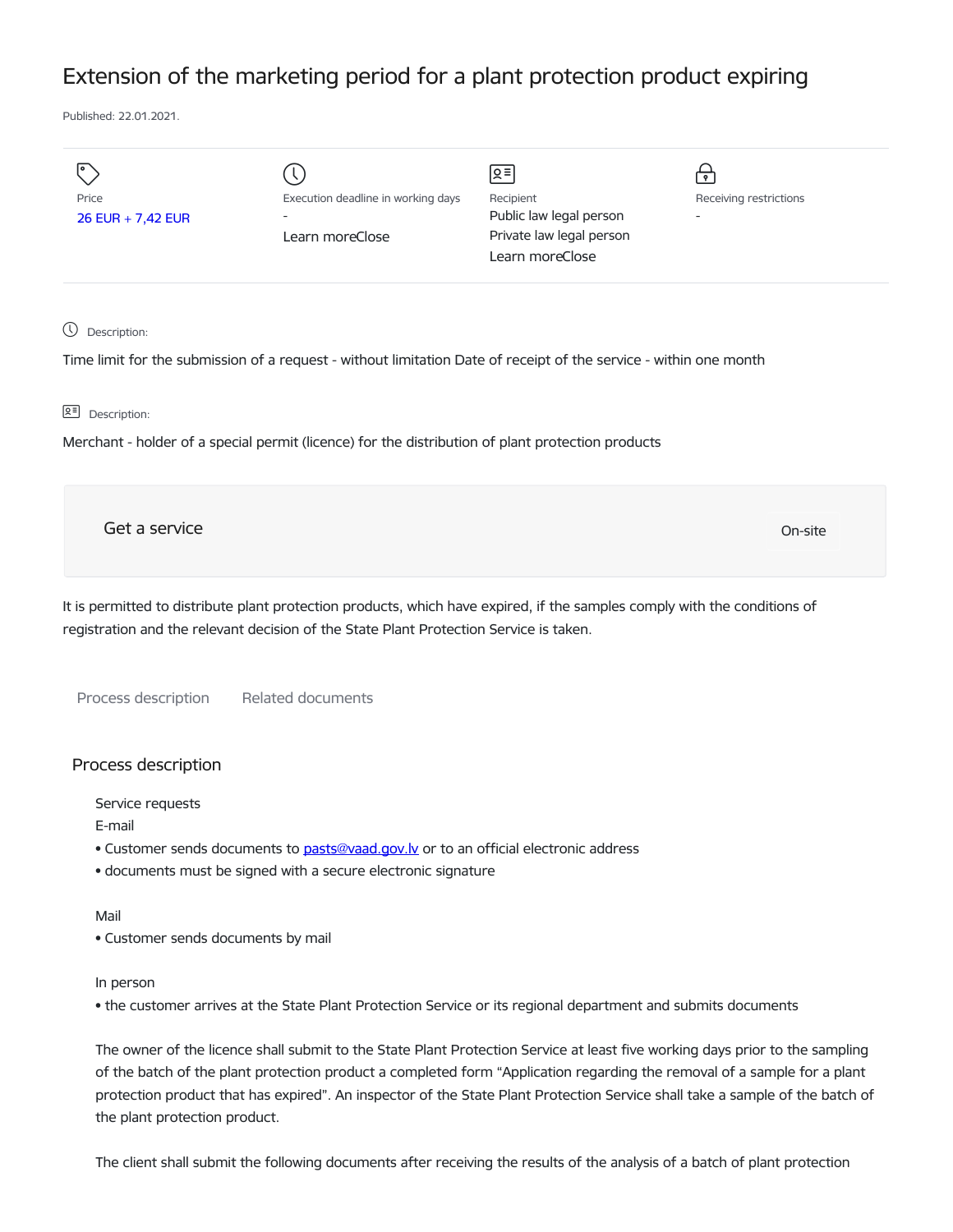## Extension of the marketing period for a plant protection product expiring

Published: 22.01.2021.

| Price<br>26 EUR + 7,42 EUR | Execution deadline in working days<br>-<br>Learn moreClose | ∣ছ≣∣<br>Recipient<br>Public law legal person<br>Private law legal person<br>Learn moreClose | $\bullet$<br>Receiving restrictions<br>- |
|----------------------------|------------------------------------------------------------|---------------------------------------------------------------------------------------------|------------------------------------------|
|                            |                                                            |                                                                                             |                                          |

Description:

Time limit for the submission of a request - without limitation Date of receipt of the service - within one month

요<sup>리</sup> Description:

Merchant - holder of a special permit (licence) for the distribution of plant protection products

Get a service On-site

It is permitted to distribute plant protection products, which have expired, if the samples comply with the conditions of registration and the relevant decision of the State Plant Protection Service is taken.

Process description Related documents

## Process description

Service requests

E-mail

- Customer sends documents to [pasts@vaad.gov.lv](mailto:pasts@vaad.gov.lv) or to an official electronic address
- documents must be signed with a secure electronic signature

## Mail

• Customer sends documents by mail

## In person

• the customer arrives at the State Plant Protection Service or its regional department and submits documents

The owner of the licence shall submit to the State Plant Protection Service at least five working days prior to the sampling of the batch of the plant protection product a completed form "Application regarding the removal of a sample for a plant protection product that has expired". An inspector of the State Plant Protection Service shall take a sample of the batch of the plant protection product.

The client shall submit the following documents after receiving the results of the analysis of a batch of plant protection